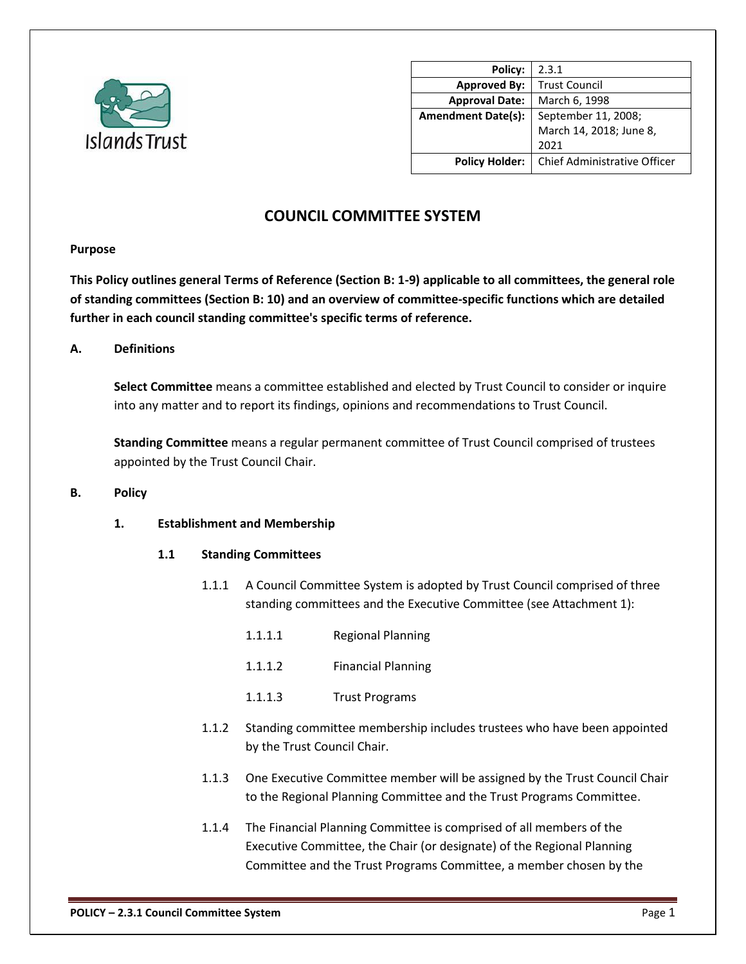

| Policy:                   | 2.3.1                        |
|---------------------------|------------------------------|
| <b>Approved By:</b>       | <b>Trust Council</b>         |
| <b>Approval Date:</b>     | March 6, 1998                |
| <b>Amendment Date(s):</b> | September 11, 2008;          |
|                           | March 14, 2018; June 8,      |
|                           | 2021                         |
| <b>Policy Holder:</b>     | Chief Administrative Officer |

# **COUNCIL COMMITTEE SYSTEM**

## **Purpose**

**This Policy outlines general Terms of Reference (Section B: 1-9) applicable to all committees, the general role of standing committees (Section B: 10) and an overview of committee-specific functions which are detailed further in each council standing committee's specific terms of reference.**

## **A. Definitions**

**Select Committee** means a committee established and elected by Trust Council to consider or inquire into any matter and to report its findings, opinions and recommendations to Trust Council.

**Standing Committee** means a regular permanent committee of Trust Council comprised of trustees appointed by the Trust Council Chair.

#### **B. Policy**

## **1. Establishment and Membership**

## **1.1 Standing Committees**

- 1.1.1 A Council Committee System is adopted by Trust Council comprised of three standing committees and the Executive Committee (see Attachment 1):
	- 1.1.1.1 Regional Planning
	- 1.1.1.2 Financial Planning
	- 1.1.1.3 Trust Programs
- 1.1.2 Standing committee membership includes trustees who have been appointed by the Trust Council Chair.
- 1.1.3 One Executive Committee member will be assigned by the Trust Council Chair to the Regional Planning Committee and the Trust Programs Committee.
- 1.1.4 The Financial Planning Committee is comprised of all members of the Executive Committee, the Chair (or designate) of the Regional Planning Committee and the Trust Programs Committee, a member chosen by the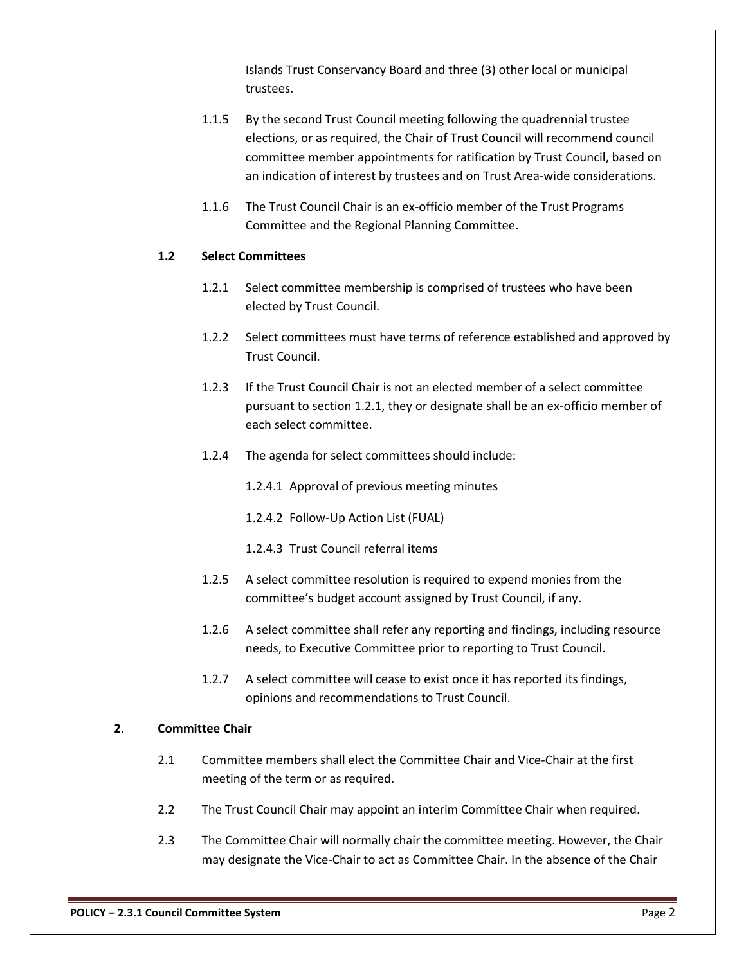Islands Trust Conservancy Board and three (3) other local or municipal trustees.

- 1.1.5 By the second Trust Council meeting following the quadrennial trustee elections, or as required, the Chair of Trust Council will recommend council committee member appointments for ratification by Trust Council, based on an indication of interest by trustees and on Trust Area-wide considerations.
- 1.1.6 The Trust Council Chair is an ex-officio member of the Trust Programs Committee and the Regional Planning Committee.

#### **1.2 Select Committees**

- 1.2.1 Select committee membership is comprised of trustees who have been elected by Trust Council.
- 1.2.2 Select committees must have terms of reference established and approved by Trust Council.
- 1.2.3 If the Trust Council Chair is not an elected member of a select committee pursuant to section 1.2.1, they or designate shall be an ex-officio member of each select committee.
- 1.2.4 The agenda for select committees should include:
	- 1.2.4.1 Approval of previous meeting minutes
	- 1.2.4.2 Follow-Up Action List (FUAL)
	- 1.2.4.3 Trust Council referral items
- 1.2.5 A select committee resolution is required to expend monies from the committee's budget account assigned by Trust Council, if any.
- 1.2.6 A select committee shall refer any reporting and findings, including resource needs, to Executive Committee prior to reporting to Trust Council.
- 1.2.7 A select committee will cease to exist once it has reported its findings, opinions and recommendations to Trust Council.

#### **2. Committee Chair**

- 2.1 Committee members shall elect the Committee Chair and Vice-Chair at the first meeting of the term or as required.
- 2.2 The Trust Council Chair may appoint an interim Committee Chair when required.
- 2.3 The Committee Chair will normally chair the committee meeting. However, the Chair may designate the Vice-Chair to act as Committee Chair. In the absence of the Chair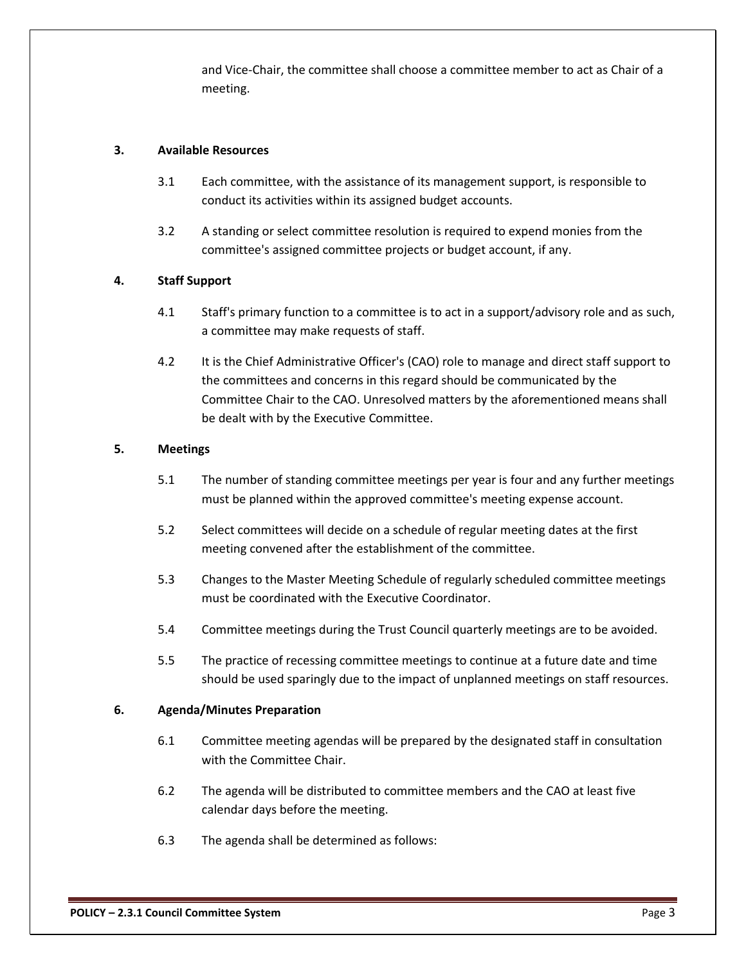and Vice-Chair, the committee shall choose a committee member to act as Chair of a meeting.

## **3. Available Resources**

- 3.1 Each committee, with the assistance of its management support, is responsible to conduct its activities within its assigned budget accounts.
- 3.2 A standing or select committee resolution is required to expend monies from the committee's assigned committee projects or budget account, if any.

# **4. Staff Support**

- 4.1 Staff's primary function to a committee is to act in a support/advisory role and as such, a committee may make requests of staff.
- 4.2 It is the Chief Administrative Officer's (CAO) role to manage and direct staff support to the committees and concerns in this regard should be communicated by the Committee Chair to the CAO. Unresolved matters by the aforementioned means shall be dealt with by the Executive Committee.

# **5. Meetings**

- 5.1 The number of standing committee meetings per year is four and any further meetings must be planned within the approved committee's meeting expense account.
- 5.2 Select committees will decide on a schedule of regular meeting dates at the first meeting convened after the establishment of the committee.
- 5.3 Changes to the Master Meeting Schedule of regularly scheduled committee meetings must be coordinated with the Executive Coordinator.
- 5.4 Committee meetings during the Trust Council quarterly meetings are to be avoided.
- 5.5 The practice of recessing committee meetings to continue at a future date and time should be used sparingly due to the impact of unplanned meetings on staff resources.

## **6. Agenda/Minutes Preparation**

- 6.1 Committee meeting agendas will be prepared by the designated staff in consultation with the Committee Chair.
- 6.2 The agenda will be distributed to committee members and the CAO at least five calendar days before the meeting.
- 6.3 The agenda shall be determined as follows: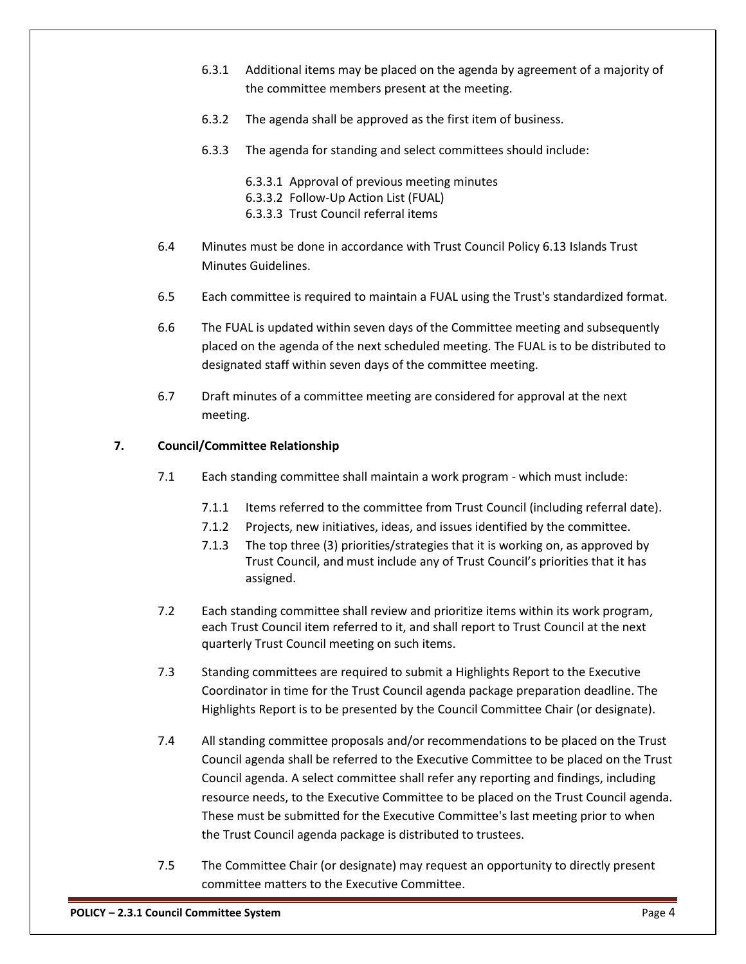- 6.3.1 Additional items may be placed on the agenda by agreement of a majority of the committee members present at the meeting.
- 6.3.2 The agenda shall be approved as the first item of business.
- 6.3.3 The agenda for standing and select committees should include:
	- 6.3.3.1 Approval of previous meeting minutes
	- 6.3.3.2 Follow-Up Action List (FUAL)
	- 6.3.3.3 Trust Council referral items
- 6.4 Minutes must be done in accordance with Trust Council Policy 6.13 Islands Trust Minutes Guidelines.
- 6.5 Each committee is required to maintain a FUAL using the Trust's standardized format.
- 6.6 The FUAL is updated within seven days of the Committee meeting and subsequently placed on the agenda of the next scheduled meeting. The FUAL is to be distributed to designated staff within seven days of the committee meeting.
- 6.7 Draft minutes of a committee meeting are considered for approval at the next meeting.

# **7. Council/Committee Relationship**

- 7.1 Each standing committee shall maintain a work program which must include:
	- 7.1.1 Items referred to the committee from Trust Council (including referral date).
	- 7.1.2 Projects, new initiatives, ideas, and issues identified by the committee.
	- 7.1.3 The top three (3) priorities/strategies that it is working on, as approved by Trust Council, and must include any of Trust Council's priorities that it has assigned.
- 7.2 Each standing committee shall review and prioritize items within its work program, each Trust Council item referred to it, and shall report to Trust Council at the next quarterly Trust Council meeting on such items.
- 7.3 Standing committees are required to submit a Highlights Report to the Executive Coordinator in time for the Trust Council agenda package preparation deadline. The Highlights Report is to be presented by the Council Committee Chair (or designate).
- 7.4 All standing committee proposals and/or recommendations to be placed on the Trust Council agenda shall be referred to the Executive Committee to be placed on the Trust Council agenda. A select committee shall refer any reporting and findings, including resource needs, to the Executive Committee to be placed on the Trust Council agenda. These must be submitted for the Executive Committee's last meeting prior to when the Trust Council agenda package is distributed to trustees.
- 7.5 The Committee Chair (or designate) may request an opportunity to directly present committee matters to the Executive Committee.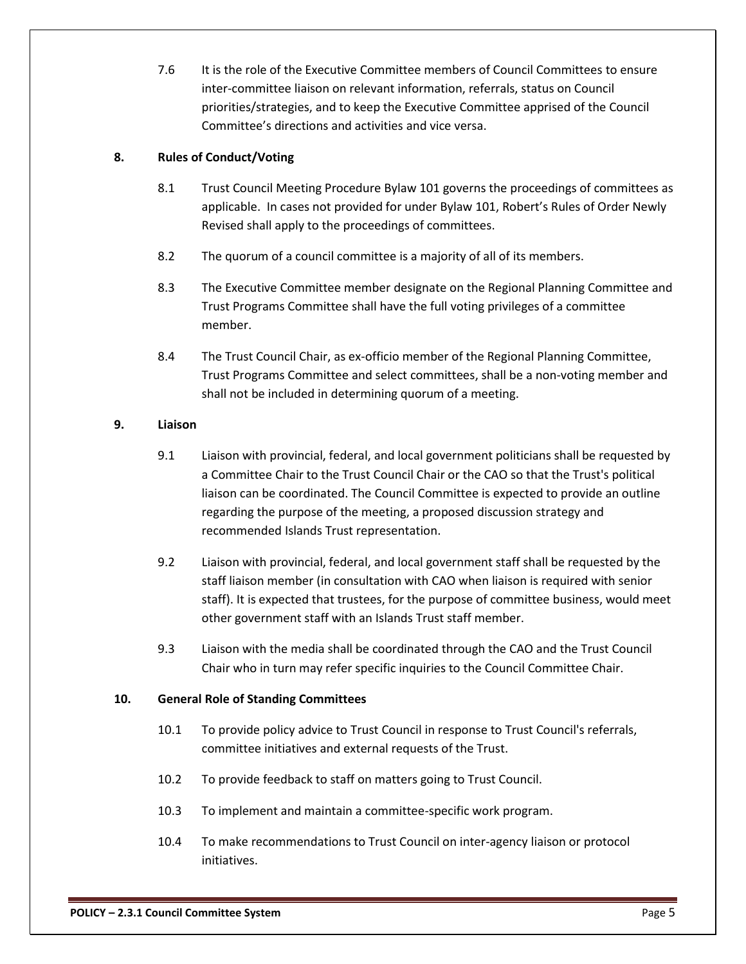7.6 It is the role of the Executive Committee members of Council Committees to ensure inter-committee liaison on relevant information, referrals, status on Council priorities/strategies, and to keep the Executive Committee apprised of the Council Committee's directions and activities and vice versa.

# **8. Rules of Conduct/Voting**

- 8.1 Trust Council Meeting Procedure Bylaw 101 governs the proceedings of committees as applicable. In cases not provided for under Bylaw 101, Robert's Rules of Order Newly Revised shall apply to the proceedings of committees.
- 8.2 The quorum of a council committee is a majority of all of its members.
- 8.3 The Executive Committee member designate on the Regional Planning Committee and Trust Programs Committee shall have the full voting privileges of a committee member.
- 8.4 The Trust Council Chair, as ex-officio member of the Regional Planning Committee, Trust Programs Committee and select committees, shall be a non-voting member and shall not be included in determining quorum of a meeting.

# **9. Liaison**

- 9.1 Liaison with provincial, federal, and local government politicians shall be requested by a Committee Chair to the Trust Council Chair or the CAO so that the Trust's political liaison can be coordinated. The Council Committee is expected to provide an outline regarding the purpose of the meeting, a proposed discussion strategy and recommended Islands Trust representation.
- 9.2 Liaison with provincial, federal, and local government staff shall be requested by the staff liaison member (in consultation with CAO when liaison is required with senior staff). It is expected that trustees, for the purpose of committee business, would meet other government staff with an Islands Trust staff member.
- 9.3 Liaison with the media shall be coordinated through the CAO and the Trust Council Chair who in turn may refer specific inquiries to the Council Committee Chair.

# **10. General Role of Standing Committees**

- 10.1 To provide policy advice to Trust Council in response to Trust Council's referrals, committee initiatives and external requests of the Trust.
- 10.2 To provide feedback to staff on matters going to Trust Council.
- 10.3 To implement and maintain a committee-specific work program.
- 10.4 To make recommendations to Trust Council on inter-agency liaison or protocol initiatives.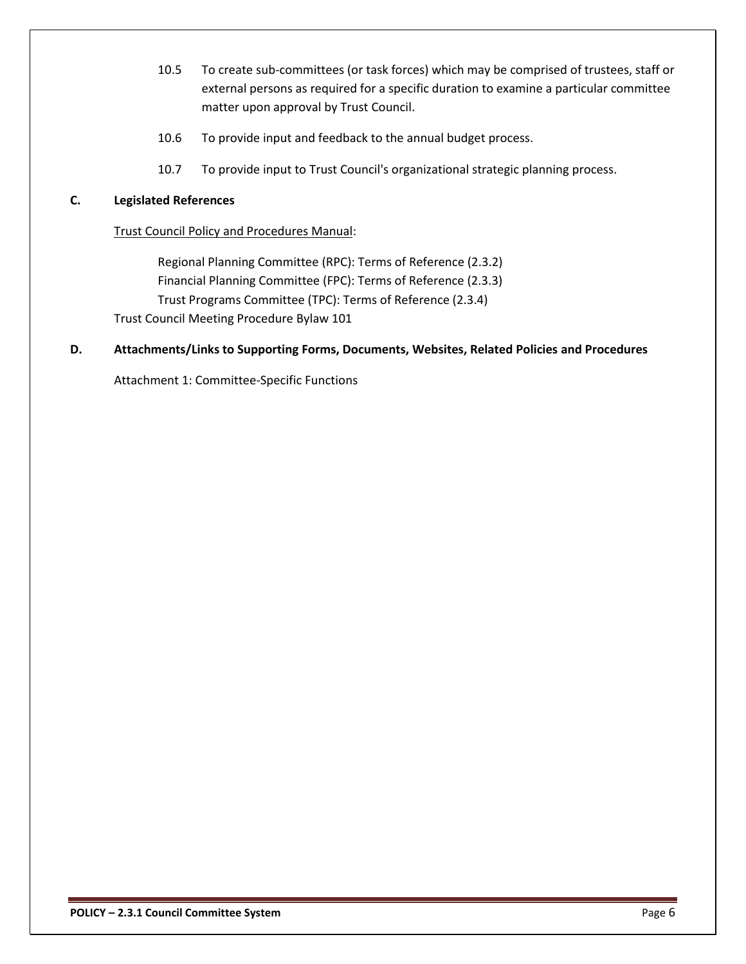- 10.5 To create sub-committees (or task forces) which may be comprised of trustees, staff or external persons as required for a specific duration to examine a particular committee matter upon approval by Trust Council.
- 10.6 To provide input and feedback to the annual budget process.
- 10.7 To provide input to Trust Council's organizational strategic planning process.

# **C. Legislated References**

#### Trust Council Policy and Procedures Manual:

Regional Planning Committee (RPC): Terms of Reference (2.3.2) Financial Planning Committee (FPC): Terms of Reference (2.3.3) Trust Programs Committee (TPC): Terms of Reference (2.3.4) Trust Council Meeting Procedure Bylaw 101

## **D. Attachments/Links to Supporting Forms, Documents, Websites, Related Policies and Procedures**

Attachment 1: Committee-Specific Functions